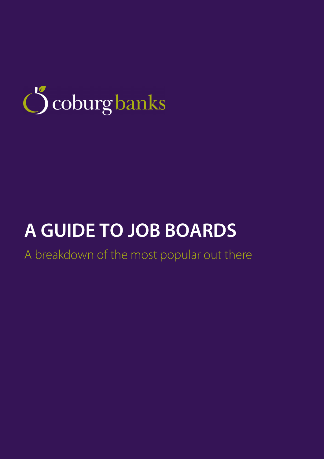

## **A GUIDE TO JOB BOARDS**

A breakdown of the most popular out there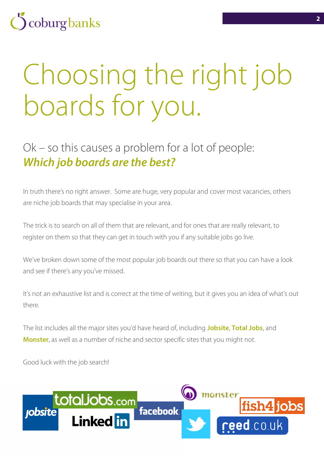## coburg banks

# Choosing the right job boards for you.

### Ok – so this causes a problem for a lot of people: *Which job boards are the best?*

In truth there's no right answer. Some are huge, very popular and cover most vacancies, others are niche job boards that may specialise in your area.

The trick is to search on all of them that are relevant, and for ones that are really relevant, to register on them so that they can get in touch with you if any suitable jobs go live.

We've broken down some of the most popular job boards out there so that you can have a look and see if there's any you've missed.

It's not an exhaustive list and is correct at the time of writing, but it gives you an idea of what's out there.

The list includes all the major sites you'd have heard of, including **Jobsite**, **Total Jobs**, and **Monster**, as well as a number of niche and sector specific sites that you might not.

Good luck with the job search!

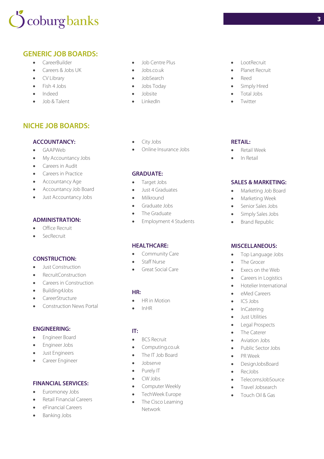## coburg banks

#### **GENERIC JOB BOARDS:**

- CareerBuilder
- Careers & Jobs UK
- CV Library
- Fish 4 Jobs
- Indeed
- Job & Talent

#### **NICHE JOB BOARDS:**

#### **ACCOUNTANCY:**

- GAAPWeb
- My Accountancy Jobs
- **Careers in Audit**
- **Careers in Practice**
- **•** Accountancy Age
- Accountancy Job Board
- Just Accountancy Jobs

#### **ADMINISTRATION:**

- Office Recruit
- SecRecruit

#### **CONSTRUCTION:**

- **Just Construction**
- RecruitConstruction
- Careers in Construction
- Building4Jobs
- **CareerStructure**
- Construction News Portal

#### **ENGINEERING:**

- Engineer Board
- **•** Engineer Jobs
- Just Engineers
- **•** Career Engineer

#### **FINANCIAL SERVICES:**

- Euromoney Jobs
- Retail Financial Careers
- eFinancial Careers
- **•** Banking Jobs
- Job Centre Plus
- Jobs.co.uk
- **JobSearch**
- Jobs Today
- Jobsite
- LinkedIn
- City Jobs
- Online Insurance Jobs

#### **GRADUATE:**

- Target Jobs
- Just 4 Graduates
- Milkround
- Graduate Jobs
- The Graduate
- Employment 4 Students

#### **HEALTHCARE:**

- Community Care
- Staff Nurse
- Great Social Care

#### **HR:**

- HR in Motion
- $\bullet$  InHR

#### **IT:**

- BCS Recruit
- Computing.co.uk
- The IT Job Board
- Jobserve
- Purely IT
- CW Jobs
- **•** Computer Weekly
- TechWeek Europe
- The Cisco Learning Network

LootRecruit

**3**

- · Planet Recruit
- Reed
- Simply Hired
- Total Jobs
- **•** Twitter

#### **RETAIL:**

- Retail Week
- In Retail

#### **SALES & MARKETING:**

- Marketing Job Board
- **•** Marketing Week
- **Senior Sales Jobs**
- Simply Sales Jobs
- **•** Brand Republic

#### **MISCELLANEOUS:**

- Top Language Jobs
- The Grocer
- Execs on the Web
- Careers in Logistics
- **•** Hotelier International
- eMed Careers
- ICS Jobs
- InCatering
- **•** Just Utilities
- Legal Prospects
- The Caterer
- Aviation Jobs
- Public Sector Jobs
- PR Week
- DesignJobsBoard RecJobs

• Travel Jobsearch Touch Oil & Gas

TelecomsJobSource